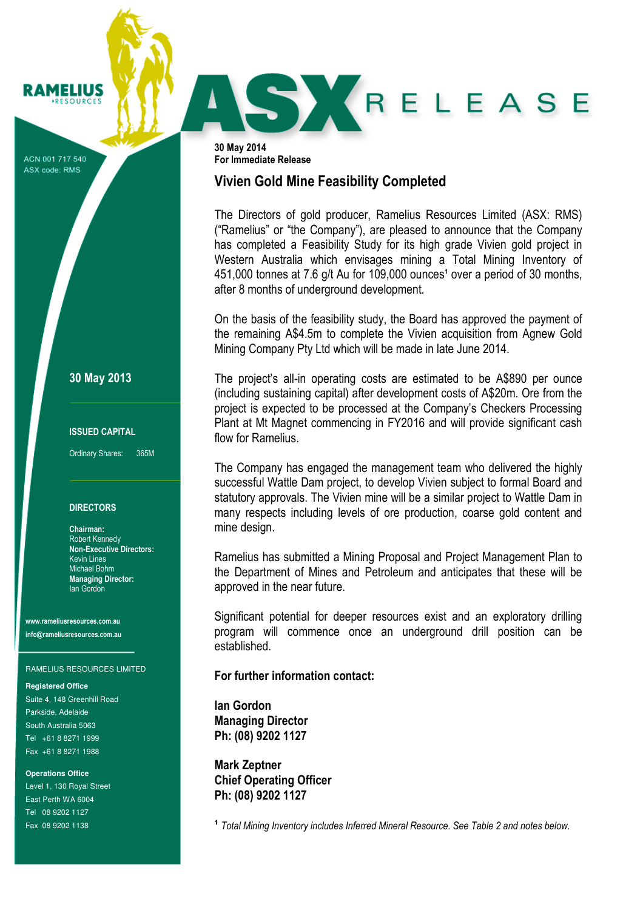ACN 001 717 540 ASX code: RMS

RAMELIUS **RESOURCES** 

30 May 2013

#### ISSUED CAPITAL

Ordinary Shares: 365M

#### DIRECTORS

Chairman: Robert Kennedy Non-Executive Directors: Kevin Lines Michael Bohm Managing Director: Ian Gordon

www.rameliusresources.com.au info@rameliusresources.com.au

#### RAMELIUS RESOURCES LIMITED

#### **Registered Office**

Suite 4, 148 Greenhill Road Parkside, Adelaide South Australia 5063 Tel +61 8 8271 1999 Fax +61 8 8271 1988

**Operations Office**  Level 1, 130 Royal Street East Perth WA 6004 Tel 08 9202 1127 Fax 08 9202 1138

30 May 2014 For Immediate Release

## Vivien Gold Mine Feasibility Completed

The Directors of gold producer, Ramelius Resources Limited (ASX: RMS) ("Ramelius" or "the Company"), are pleased to announce that the Company has completed a Feasibility Study for its high grade Vivien gold project in Western Australia which envisages mining a Total Mining Inventory of 451,000 tonnes at 7.6 g/t Au for 109,000 ounces<sup>1</sup> over a period of 30 months, after 8 months of underground development.

SXRELEASE

On the basis of the feasibility study, the Board has approved the payment of the remaining A\$4.5m to complete the Vivien acquisition from Agnew Gold Mining Company Pty Ltd which will be made in late June 2014.

The project's all-in operating costs are estimated to be A\$890 per ounce (including sustaining capital) after development costs of A\$20m. Ore from the project is expected to be processed at the Company's Checkers Processing Plant at Mt Magnet commencing in FY2016 and will provide significant cash flow for Ramelius.

The Company has engaged the management team who delivered the highly successful Wattle Dam project, to develop Vivien subject to formal Board and statutory approvals. The Vivien mine will be a similar project to Wattle Dam in many respects including levels of ore production, coarse gold content and mine design.

Ramelius has submitted a Mining Proposal and Project Management Plan to the Department of Mines and Petroleum and anticipates that these will be approved in the near future.

Significant potential for deeper resources exist and an exploratory drilling program will commence once an underground drill position can be established.

### For further information contact:

Ian Gordon Managing Director Ph: (08) 9202 1127

Mark Zeptner Chief Operating Officer Ph: (08) 9202 1127

<sup>1</sup> Total Mining Inventory includes Inferred Mineral Resource. See Table 2 and notes below.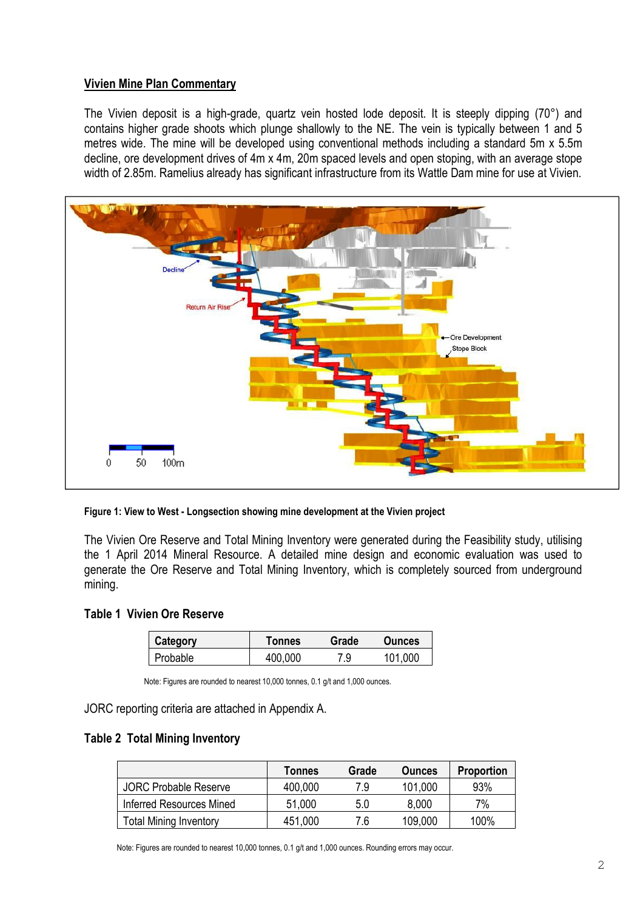## Vivien Mine Plan Commentary

The Vivien deposit is a high-grade, quartz vein hosted lode deposit. It is steeply dipping (70°) and contains higher grade shoots which plunge shallowly to the NE. The vein is typically between 1 and 5 metres wide. The mine will be developed using conventional methods including a standard 5m x 5.5m decline, ore development drives of 4m x 4m, 20m spaced levels and open stoping, with an average stope width of 2.85m. Ramelius already has significant infrastructure from its Wattle Dam mine for use at Vivien.



Figure 1: View to West - Longsection showing mine development at the Vivien project

The Vivien Ore Reserve and Total Mining Inventory were generated during the Feasibility study, utilising the 1 April 2014 Mineral Resource. A detailed mine design and economic evaluation was used to generate the Ore Reserve and Total Mining Inventory, which is completely sourced from underground mining.

## Table 1 Vivien Ore Reserve

| Category | Tonnes  | Grade | <b>Ounces</b> |
|----------|---------|-------|---------------|
| Probable | 400,000 | 7.9   | 101.000       |

Note: Figures are rounded to nearest 10,000 tonnes, 0.1 g/t and 1,000 ounces.

JORC reporting criteria are attached in Appendix A.

### Table 2 Total Mining Inventory

|                               | <b>Tonnes</b> | Grade | <b>Ounces</b> | <b>Proportion</b> |
|-------------------------------|---------------|-------|---------------|-------------------|
| <b>JORC Probable Reserve</b>  | 400,000       | 7.9   | 101,000       | 93%               |
| Inferred Resources Mined      | 51,000        | 5.0   | 8,000         | 7%                |
| <b>Total Mining Inventory</b> | 451,000       | 7.6   | 109,000       | 100%              |

Note: Figures are rounded to nearest 10,000 tonnes, 0.1 g/t and 1,000 ounces. Rounding errors may occur.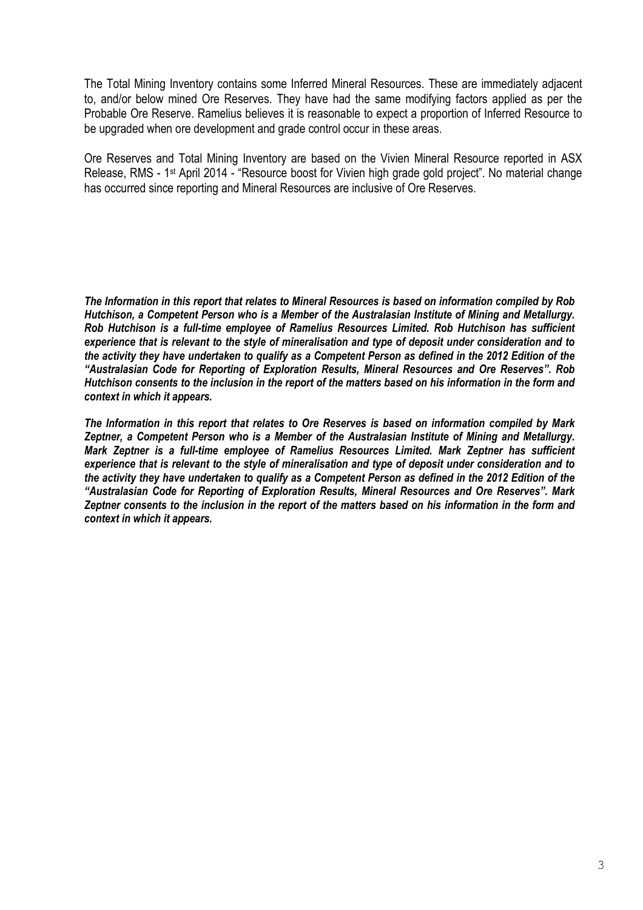The Total Mining Inventory contains some Inferred Mineral Resources. These are immediately adjacent to, and/or below mined Ore Reserves. They have had the same modifying factors applied as per the Probable Ore Reserve. Ramelius believes it is reasonable to expect a proportion of Inferred Resource to be upgraded when ore development and grade control occur in these areas.

Ore Reserves and Total Mining Inventory are based on the Vivien Mineral Resource reported in ASX Release, RMS - 1st April 2014 - "Resource boost for Vivien high grade gold project". No material change has occurred since reporting and Mineral Resources are inclusive of Ore Reserves.

The Information in this report that relates to Mineral Resources is based on information compiled by Rob Hutchison, a Competent Person who is a Member of the Australasian Institute of Mining and Metallurgy. Rob Hutchison is a full-time employee of Ramelius Resources Limited. Rob Hutchison has sufficient experience that is relevant to the style of mineralisation and type of deposit under consideration and to the activity they have undertaken to qualify as a Competent Person as defined in the 2012 Edition of the "Australasian Code for Reporting of Exploration Results, Mineral Resources and Ore Reserves". Rob Hutchison consents to the inclusion in the report of the matters based on his information in the form and context in which it appears.

The Information in this report that relates to Ore Reserves is based on information compiled by Mark Zeptner, a Competent Person who is a Member of the Australasian Institute of Mining and Metallurgy. Mark Zeptner is a full-time employee of Ramelius Resources Limited. Mark Zeptner has sufficient experience that is relevant to the style of mineralisation and type of deposit under consideration and to the activity they have undertaken to qualify as a Competent Person as defined in the 2012 Edition of the "Australasian Code for Reporting of Exploration Results, Mineral Resources and Ore Reserves". Mark Zeptner consents to the inclusion in the report of the matters based on his information in the form and context in which it appears.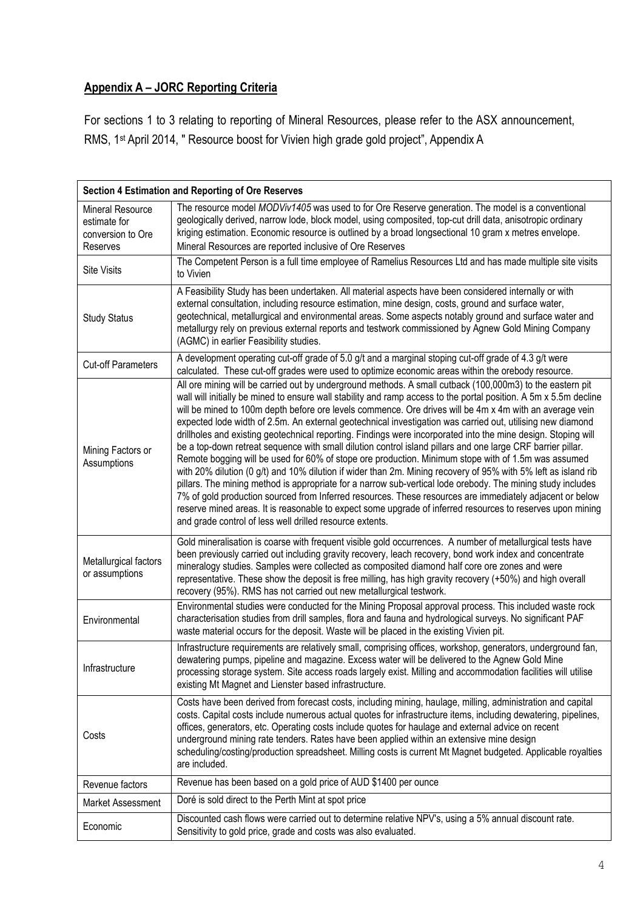# Appendix A – JORC Reporting Criteria

For sections 1 to 3 relating to reporting of Mineral Resources, please refer to the ASX announcement, RMS, 1st April 2014, " Resource boost for Vivien high grade gold project", Appendix A

| <b>Section 4 Estimation and Reporting of Ore Reserves</b>                |                                                                                                                                                                                                                                                                                                                                                                                                                                                                                                                                                                                                                                                                                                                                                                                                                                                                                                                                                                                                                                                                                                                                                                                                                                                                                                                       |  |
|--------------------------------------------------------------------------|-----------------------------------------------------------------------------------------------------------------------------------------------------------------------------------------------------------------------------------------------------------------------------------------------------------------------------------------------------------------------------------------------------------------------------------------------------------------------------------------------------------------------------------------------------------------------------------------------------------------------------------------------------------------------------------------------------------------------------------------------------------------------------------------------------------------------------------------------------------------------------------------------------------------------------------------------------------------------------------------------------------------------------------------------------------------------------------------------------------------------------------------------------------------------------------------------------------------------------------------------------------------------------------------------------------------------|--|
| <b>Mineral Resource</b><br>estimate for<br>conversion to Ore<br>Reserves | The resource model MODViv1405 was used to for Ore Reserve generation. The model is a conventional<br>geologically derived, narrow lode, block model, using composited, top-cut drill data, anisotropic ordinary<br>kriging estimation. Economic resource is outlined by a broad longsectional 10 gram x metres envelope.<br>Mineral Resources are reported inclusive of Ore Reserves                                                                                                                                                                                                                                                                                                                                                                                                                                                                                                                                                                                                                                                                                                                                                                                                                                                                                                                                  |  |
| <b>Site Visits</b>                                                       | The Competent Person is a full time employee of Ramelius Resources Ltd and has made multiple site visits<br>to Vivien                                                                                                                                                                                                                                                                                                                                                                                                                                                                                                                                                                                                                                                                                                                                                                                                                                                                                                                                                                                                                                                                                                                                                                                                 |  |
| <b>Study Status</b>                                                      | A Feasibility Study has been undertaken. All material aspects have been considered internally or with<br>external consultation, including resource estimation, mine design, costs, ground and surface water,<br>geotechnical, metallurgical and environmental areas. Some aspects notably ground and surface water and<br>metallurgy rely on previous external reports and testwork commissioned by Agnew Gold Mining Company<br>(AGMC) in earlier Feasibility studies.                                                                                                                                                                                                                                                                                                                                                                                                                                                                                                                                                                                                                                                                                                                                                                                                                                               |  |
| <b>Cut-off Parameters</b>                                                | A development operating cut-off grade of 5.0 g/t and a marginal stoping cut-off grade of 4.3 g/t were<br>calculated. These cut-off grades were used to optimize economic areas within the orebody resource.                                                                                                                                                                                                                                                                                                                                                                                                                                                                                                                                                                                                                                                                                                                                                                                                                                                                                                                                                                                                                                                                                                           |  |
| Mining Factors or<br>Assumptions                                         | All ore mining will be carried out by underground methods. A small cutback (100,000m3) to the eastern pit<br>wall will initially be mined to ensure wall stability and ramp access to the portal position. A 5m x 5.5m decline<br>will be mined to 100m depth before ore levels commence. Ore drives will be 4m x 4m with an average vein<br>expected lode width of 2.5m. An external geotechnical investigation was carried out, utilising new diamond<br>drillholes and existing geotechnical reporting. Findings were incorporated into the mine design. Stoping will<br>be a top-down retreat sequence with small dilution control island pillars and one large CRF barrier pillar.<br>Remote bogging will be used for 60% of stope ore production. Minimum stope with of 1.5m was assumed<br>with 20% dilution (0 g/t) and 10% dilution if wider than 2m. Mining recovery of 95% with 5% left as island rib<br>pillars. The mining method is appropriate for a narrow sub-vertical lode orebody. The mining study includes<br>7% of gold production sourced from Inferred resources. These resources are immediately adjacent or below<br>reserve mined areas. It is reasonable to expect some upgrade of inferred resources to reserves upon mining<br>and grade control of less well drilled resource extents. |  |
| Metallurgical factors<br>or assumptions                                  | Gold mineralisation is coarse with frequent visible gold occurrences. A number of metallurgical tests have<br>been previously carried out including gravity recovery, leach recovery, bond work index and concentrate<br>mineralogy studies. Samples were collected as composited diamond half core ore zones and were<br>representative. These show the deposit is free milling, has high gravity recovery (+50%) and high overall<br>recovery (95%). RMS has not carried out new metallurgical testwork.                                                                                                                                                                                                                                                                                                                                                                                                                                                                                                                                                                                                                                                                                                                                                                                                            |  |
| Environmental                                                            | Environmental studies were conducted for the Mining Proposal approval process. This included waste rock<br>characterisation studies from drill samples, flora and fauna and hydrological surveys. No significant PAF<br>waste material occurs for the deposit. Waste will be placed in the existing Vivien pit.                                                                                                                                                                                                                                                                                                                                                                                                                                                                                                                                                                                                                                                                                                                                                                                                                                                                                                                                                                                                       |  |
| Infrastructure                                                           | Infrastructure requirements are relatively small, comprising offices, workshop, generators, underground fan,<br>dewatering pumps, pipeline and magazine. Excess water will be delivered to the Agnew Gold Mine<br>processing storage system. Site access roads largely exist. Milling and accommodation facilities will utilise<br>existing Mt Magnet and Lienster based infrastructure.                                                                                                                                                                                                                                                                                                                                                                                                                                                                                                                                                                                                                                                                                                                                                                                                                                                                                                                              |  |
| Costs                                                                    | Costs have been derived from forecast costs, including mining, haulage, milling, administration and capital<br>costs. Capital costs include numerous actual quotes for infrastructure items, including dewatering, pipelines,<br>offices, generators, etc. Operating costs include quotes for haulage and external advice on recent<br>underground mining rate tenders. Rates have been applied within an extensive mine design<br>scheduling/costing/production spreadsheet. Milling costs is current Mt Magnet budgeted. Applicable royalties<br>are included.                                                                                                                                                                                                                                                                                                                                                                                                                                                                                                                                                                                                                                                                                                                                                      |  |
| Revenue factors                                                          | Revenue has been based on a gold price of AUD \$1400 per ounce                                                                                                                                                                                                                                                                                                                                                                                                                                                                                                                                                                                                                                                                                                                                                                                                                                                                                                                                                                                                                                                                                                                                                                                                                                                        |  |
| <b>Market Assessment</b>                                                 | Doré is sold direct to the Perth Mint at spot price                                                                                                                                                                                                                                                                                                                                                                                                                                                                                                                                                                                                                                                                                                                                                                                                                                                                                                                                                                                                                                                                                                                                                                                                                                                                   |  |
| Economic                                                                 | Discounted cash flows were carried out to determine relative NPV's, using a 5% annual discount rate.<br>Sensitivity to gold price, grade and costs was also evaluated.                                                                                                                                                                                                                                                                                                                                                                                                                                                                                                                                                                                                                                                                                                                                                                                                                                                                                                                                                                                                                                                                                                                                                |  |